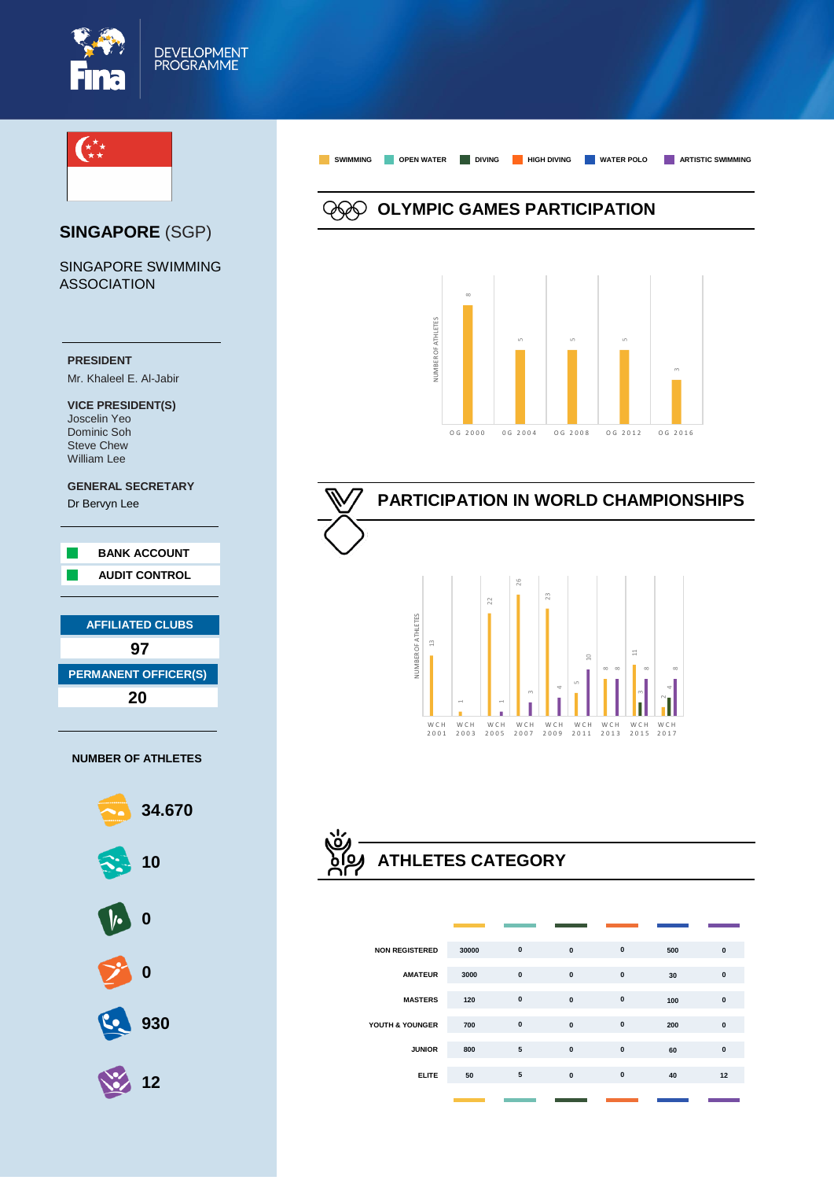



**ELITE**

 

 $\alpha$